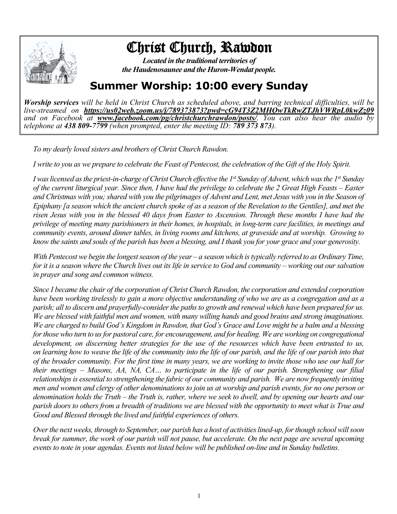

## Christ Church, Rawdon

*Located in the traditional territories of the Haudenosaunee and the Huron-Wendat people.*

## **Summer Worship: 10:00 every Sunday**

*Worship services will be held in Christ Church as scheduled above, and barring technical difficulties, will be live-streamed on https://us02web.zoom.us/j/789373873?pwd=cG94T3Z2MHQwTkRwZTJhVWRpL0kwZz09 and on Facebook at www.facebook.com/pg/christchurchrawdon/posts/. You can also hear the audio by telephone at 438 809-7799 (when prompted, enter the meeting ID: 789 373 873).*

*To my dearly loved sisters and brothers of Christ Church Rawdon.*

*I write to you as we prepare to celebrate the Feast of Pentecost, the celebration of the Gift of the Holy Spirit.*

*I was licensed as the priest-in-charge of Christ Church effective the 1st Sunday of Advent, which was the 1st Sunday of the current liturgical year. Since then, I have had the privilege to celebrate the 2 Great High Feasts – Easter and Christmas with you; shared with you the pilgrimages of Advent and Lent, met Jesus with you in the Season of Epiphany [a season which the ancient church spoke of as a season of the Revelation to the Gentiles], and met the risen Jesus with you in the blessed 40 days from Easter to Ascension. Through these months I have had the privilege of meeting many parishioners in their homes, in hospitals, in long-term care facilities, in meetings and community events, around dinner tables, in living rooms and kitchens, at graveside and at worship. Growing to know the saints and souls of the parish has been a blessing, and I thank you for your grace and your generosity.*

*With Pentecost we begin the longest season of the year – a season which is typically referred to as Ordinary Time, for it is a season where the Church lives out its life in service to God and community – working out our salvation in prayer and song and common witness.*

*Since I became the chair of the corporation of Christ Church Rawdon, the corporation and extended corporation have been working tirelessly to gain a more objective understanding of who we are as a congregation and as a parish; all to discern and prayerfully-consider the paths to growth and renewal which have been prepared for us. We are blessed with faithful men and women, with many willing hands and good brains and strong imaginations. We are charged to build God's Kingdom in Rawdon, that God's Grace and Love might be a balm and a blessing*  for those who turn to us for pastoral care, for encouragement, and for healing. We are working on congregational *development, on discerning better strategies for the use of the resources which have been entrusted to us, on learning how to weave the life of the community into the life of our parish, and the life of our parish into that of the broader community. For the first time in many years, we are working to invite those who use our hall for their meetings – Masons, AA, NA, CA… to participate in the life of our parish. Strengthening our filial relationships is essential to strengthening the fabric of our community and parish. We are now frequently inviting men and women and clergy of other denominations to join us at worship and parish events, for no one person or denomination holds the Truth – the Truth is, rather, where we seek to dwell, and by opening our hearts and our parish doors to others from a breadth of traditions we are blessed with the opportunity to meet what is True and Good and Blessed through the lived and faithful experiences of others.*

*Over the next weeks, through to September, our parish has a host of activities lined-up, for though school will soon break for summer, the work of our parish will not pause, but accelerate. On the next page are several upcoming events to note in your agendas. Events not listed below will be published on-line and in Sunday bulletins.*